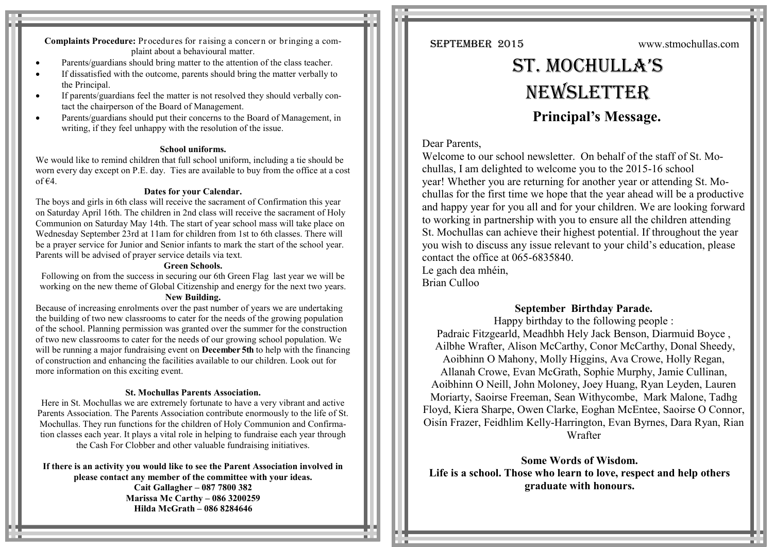**Complaints Procedure:** Procedures for raising a concern or bringing a complaint about a behavioural matter.

- Parents/guardians should bring matter to the attention of the class teacher.
- If dissatisfied with the outcome, parents should bring the matter verbally to the Principal.
- If parents/guardians feel the matter is not resolved they should verbally contact the chairperson of the Board of Management.
- Parents/guardians should put their concerns to the Board of Management, in writing, if they feel unhappy with the resolution of the issue.

#### **School uniforms.**

We would like to remind children that full school uniform, including a tie should be worn every day except on P.E. day. Ties are available to buy from the office at a cost of  $\epsilon$ 4.

#### **Dates for your Calendar.**

The boys and girls in 6th class will receive the sacrament of Confirmation this year on Saturday April 16th. The children in 2nd class will receive the sacrament of Holy Communion on Saturday May 14th. The start of year school mass will take place on Wednesday September 23rd at 11am for children from 1st to 6th classes. There will be a prayer service for Junior and Senior infants to mark the start of the school year. Parents will be advised of prayer service details via text.

#### **Green Schools.**

Following on from the success in securing our 6th Green Flag last year we will be working on the new theme of Global Citizenship and energy for the next two years. **New Building.**

Because of increasing enrolments over the past number of years we are undertaking the building of two new classrooms to cater for the needs of the growing population of the school. Planning permission was granted over the summer for the construction of two new classrooms to cater for the needs of our growing school population. We will be running a major fundraising event on **December 5th** to help with the financing of construction and enhancing the facilities available to our children. Look out for more information on this exciting event.

#### **St. Mochullas Parents Association.**

Here in St. Mochullas we are extremely fortunate to have a very vibrant and active Parents Association. The Parents Association contribute enormously to the life of St. Mochullas. They run functions for the children of Holy Communion and Confirmation classes each year. It plays a vital role in helping to fundraise each year through the Cash For Clobber and other valuable fundraising initiatives.

**If there is an activity you would like to see the Parent Association involved in please contact any member of the committee with your ideas.**

> **Cait Gallagher – 087 7800 382 Marissa Mc Carthy – 086 3200259 Hilda McGrath – 086 8284646**

SEPTEMBER 2015 www.stmochullas.com

# St. Mochulla'S **NEWSLETTER Principal's Message.**

# Dear Parents,

Welcome to our school newsletter. On behalf of the staff of St. Mochullas, I am delighted to welcome you to the 2015-16 school year! Whether you are returning for another year or attending St. Mochullas for the first time we hope that the year ahead will be a productive and happy year for you all and for your children. We are looking forward to working in partnership with you to ensure all the children attending St. Mochullas can achieve their highest potential. If throughout the year you wish to discuss any issue relevant to your child's education, please contact the office at 065-6835840. Le gach dea mhéin.

Brian Culloo

# **September Birthday Parade.**

Happy birthday to the following people : Padraic Fitzgearld, Meadhbh Hely Jack Benson, Diarmuid Boyce , Ailbhe Wrafter, Alison McCarthy, Conor McCarthy, Donal Sheedy, Aoibhinn O Mahony, Molly Higgins, Ava Crowe, Holly Regan, Allanah Crowe, Evan McGrath, Sophie Murphy, Jamie Cullinan, Aoibhinn O Neill, John Moloney, Joey Huang, Ryan Leyden, Lauren Moriarty, Saoirse Freeman, Sean Withycombe, Mark Malone, Tadhg Floyd, Kiera Sharpe, Owen Clarke, Eoghan McEntee, Saoirse O Connor, Oisín Frazer, Feidhlim Kelly-Harrington, Evan Byrnes, Dara Ryan, Rian Wrafter

**Some Words of Wisdom. Life is a school. Those who learn to love, respect and help others graduate with honours.**